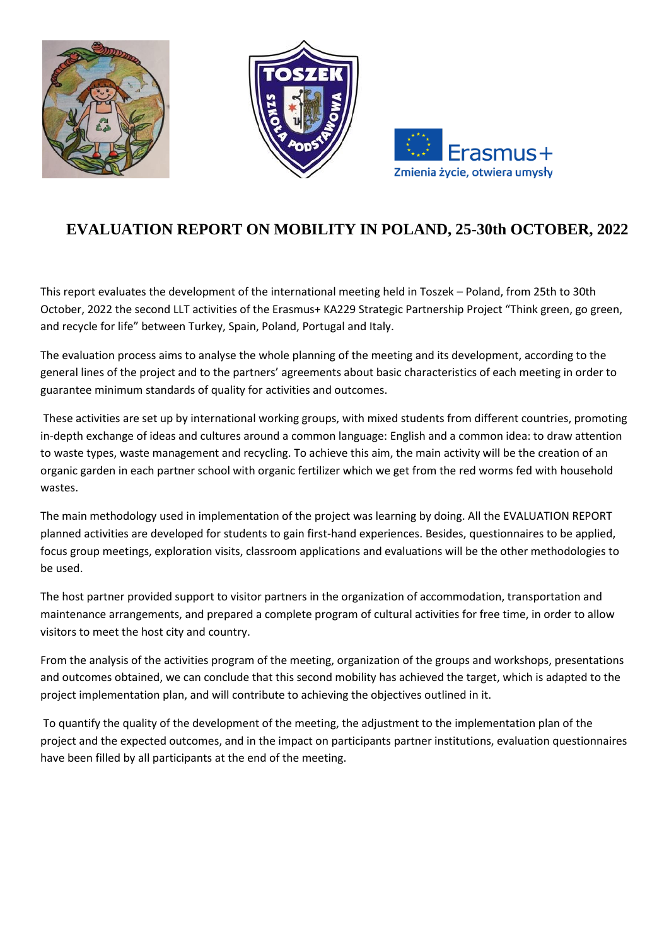





# **EVALUATION REPORT ON MOBILITY IN POLAND, 25-30th OCTOBER, 2022**

This report evaluates the development of the international meeting held in Toszek – Poland, from 25th to 30th October, 2022 the second LLT activities of the Erasmus+ KA229 Strategic Partnership Project "Think green, go green, and recycle for life" between Turkey, Spain, Poland, Portugal and Italy.

The evaluation process aims to analyse the whole planning of the meeting and its development, according to the general lines of the project and to the partners' agreements about basic characteristics of each meeting in order to guarantee minimum standards of quality for activities and outcomes.

These activities are set up by international working groups, with mixed students from different countries, promoting in-depth exchange of ideas and cultures around a common language: English and a common idea: to draw attention to waste types, waste management and recycling. To achieve this aim, the main activity will be the creation of an organic garden in each partner school with organic fertilizer which we get from the red worms fed with household wastes.

The main methodology used in implementation of the project was learning by doing. All the EVALUATION REPORT planned activities are developed for students to gain first-hand experiences. Besides, questionnaires to be applied, focus group meetings, exploration visits, classroom applications and evaluations will be the other methodologies to be used.

The host partner provided support to visitor partners in the organization of accommodation, transportation and maintenance arrangements, and prepared a complete program of cultural activities for free time, in order to allow visitors to meet the host city and country.

From the analysis of the activities program of the meeting, organization of the groups and workshops, presentations and outcomes obtained, we can conclude that this second mobility has achieved the target, which is adapted to the project implementation plan, and will contribute to achieving the objectives outlined in it.

To quantify the quality of the development of the meeting, the adjustment to the implementation plan of the project and the expected outcomes, and in the impact on participants partner institutions, evaluation questionnaires have been filled by all participants at the end of the meeting.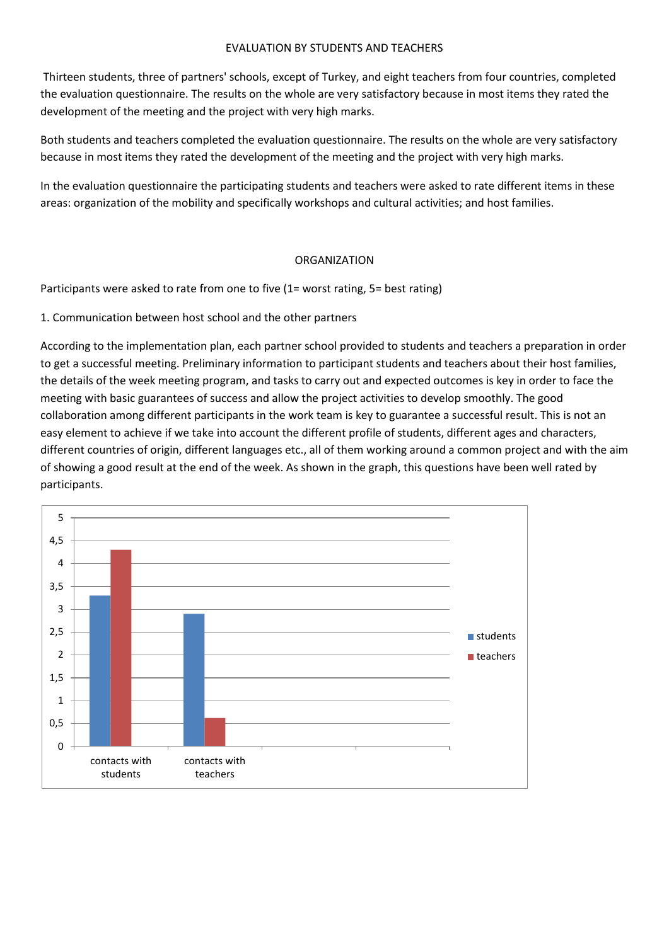#### EVALUATION BY STUDENTS AND TEACHERS

Thirteen students, three of partners' schools, except of Turkey, and eight teachers from four countries, completed the evaluation questionnaire. The results on the whole are very satisfactory because in most items they rated the development of the meeting and the project with very high marks.

Both students and teachers completed the evaluation questionnaire. The results on the whole are very satisfactory because in most items they rated the development of the meeting and the project with very high marks.

In the evaluation questionnaire the participating students and teachers were asked to rate different items in these areas: organization of the mobility and specifically workshops and cultural activities; and host families.

## ORGANIZATION

Participants were asked to rate from one to five (1= worst rating, 5= best rating)

1. Communication between host school and the other partners

According to the implementation plan, each partner school provided to students and teachers a preparation in order to get a successful meeting. Preliminary information to participant students and teachers about their host families, the details of the week meeting program, and tasks to carry out and expected outcomes is key in order to face the meeting with basic guarantees of success and allow the project activities to develop smoothly. The good collaboration among different participants in the work team is key to guarantee a successful result. This is not an easy element to achieve if we take into account the different profile of students, different ages and characters, different countries of origin, different languages etc., all of them working around a common project and with the aim of showing a good result at the end of the week. As shown in the graph, this questions have been well rated by participants.

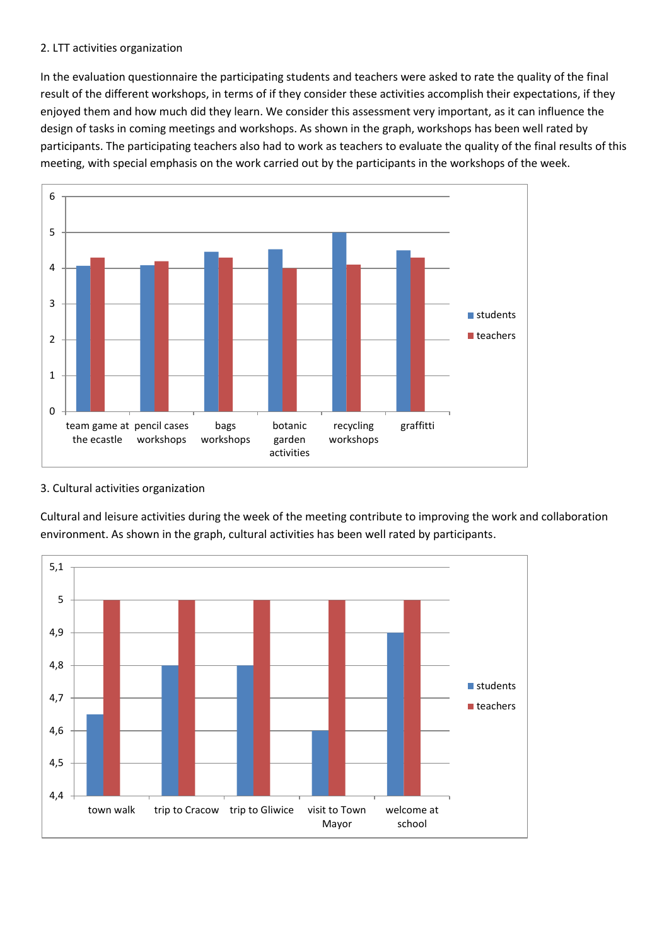#### 2. LTT activities organization

In the evaluation questionnaire the participating students and teachers were asked to rate the quality of the final result of the different workshops, in terms of if they consider these activities accomplish their expectations, if they enjoyed them and how much did they learn. We consider this assessment very important, as it can influence the design of tasks in coming meetings and workshops. As shown in the graph, workshops has been well rated by participants. The participating teachers also had to work as teachers to evaluate the quality of the final results of this meeting, with special emphasis on the work carried out by the participants in the workshops of the week.



## 3. Cultural activities organization

Cultural and leisure activities during the week of the meeting contribute to improving the work and collaboration environment. As shown in the graph, cultural activities has been well rated by participants.